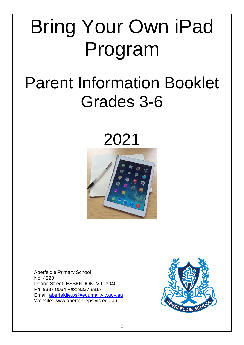# Bring Your Own iPad Program

# Parent Information Booklet Grades 3-6

2021



Aberfeldie Primary School No. 4220 Doone Street, ESSENDON VIC 3040 Ph: 9337 8084 Fax: 9337 8917 Email: [aberfeldie.ps@edumail.vic.gov.au](mailto:aberfeldie.ps@edumail.vic.gov.au) Website: www.aberfeldieps.vic.edu.au

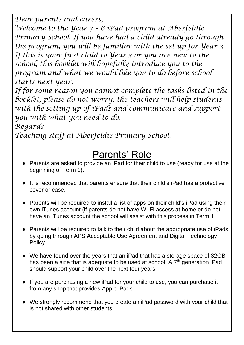*Dear parents and carers,* 

*Welcome to the Year 3 – 6 iPad program at Aberfeldie Primary School. If you have had a child already go through the program, you will be familiar with the set up for Year 3. If this is your first child to Year 3 or you are new to the school, this booklet will hopefully introduce you to the program and what we would like you to do before school starts next year.* 

*If for some reason you cannot complete the tasks listed in the booklet, please do not worry, the teachers will help students with the setting up of iPads and communicate and support you with what you need to do.* 

*Regards*

*Teaching staff at Aberfeldie Primary School.*

## Parents' Role

- Parents are asked to provide an iPad for their child to use (ready for use at the beginning of Term 1).
- It is recommended that parents ensure that their child's iPad has a protective cover or case.
- Parents will be required to install a list of apps on their child's iPad using their own iTunes account (if parents do not have Wi-Fi access at home or do not have an iTunes account the school will assist with this process in Term 1.
- Parents will be required to talk to their child about the appropriate use of iPads by going through APS Acceptable Use Agreement and Digital Technology Policy.
- We have found over the years that an iPad that has a storage space of 32GB has been a size that is adequate to be used at school. A 7<sup>th</sup> generation iPad should support your child over the next four years.
- If you are purchasing a new iPad for your child to use, you can purchase it from any shop that provides Apple iPads.
- We strongly recommend that you create an iPad password with your child that is not shared with other students.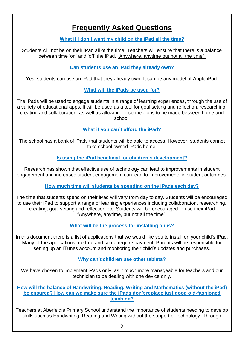### **Frequently Asked Questions**

**What if I don't want my child on the iPad all the time?**

Students will not be on their iPad all of the time. Teachers will ensure that there is a balance between time 'on' and 'off' the iPad. "Anywhere, anytime but not all the time".

**Can students use an iPad they already own?**

Yes, students can use an iPad that they already own. It can be any model of Apple iPad.

#### **What will the iPads be used for?**

The iPads will be used to engage students in a range of learning experiences, through the use of a variety of educational apps. It will be used as a tool for goal setting and reflection, researching, creating and collaboration, as well as allowing for connections to be made between home and school.

**What if you can't afford the iPad?**

The school has a bank of iPads that students will be able to access. However, students cannot take school owned iPads home.

**Is using the iPad beneficial for children's development?**

Research has shown that effective use of technology can lead to improvements in student engagement and increased student engagement can lead to improvements in student outcomes.

**How much time will students be spending on the iPads each day?**

The time that students spend on their iPad will vary from day to day. Students will be encouraged to use their iPad to support a range of learning experiences including collaboration, researching, creating, goal setting and reflection etc. Students will be encouraged to use their iPad "Anywhere, anytime, but not all the time".

**What will be the process for installing apps?**

In this document there is a list of applications that we would like you to install on your child's iPad. Many of the applications are free and some require payment. Parents will be responsible for setting up an iTunes account and monitoring their child's updates and purchases.

**Why can't children use other tablets?**

We have chosen to implement iPads only, as it much more manageable for teachers and our technician to be dealing with one device only.

**How will the balance of Handwriting, Reading, Writing and Mathematics (without the iPad) be ensured? How can we make sure the iPads don't replace just good old-fashioned teaching?**

Teachers at Aberfeldie Primary School understand the importance of students needing to develop skills such as Handwriting, Reading and Writing without the support of technology. Through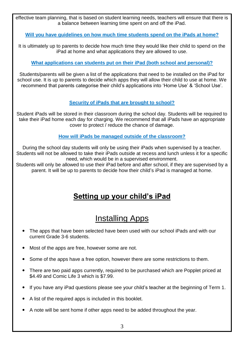effective team planning, that is based on student learning needs, teachers will ensure that there is a balance between learning time spent on and off the iPad.

#### **Will you have guidelines on how much time students spend on the iPads at home?**

It is ultimately up to parents to decide how much time they would like their child to spend on the iPad at home and what applications they are allowed to use.

#### **What applications can students put on their iPad (both school and personal)?**

Students/parents will be given a list of the applications that need to be installed on the iPad for school use. It is up to parents to decide which apps they will allow their child to use at home. We recommend that parents categorise their child's applications into 'Home Use' & 'School Use'.

#### **Security of iPads that are brought to school?**

Student iPads will be stored in their classroom during the school day. Students will be required to take their iPad home each day for charging. We recommend that all iPads have an appropriate cover to protect / reduce the chance of damage.

#### **How will iPads be managed outside of the classroom?**

During the school day students will only be using their iPads when supervised by a teacher. Students will not be allowed to take their iPads outside at recess and lunch unless it for a specific need, which would be in a supervised environment.

Students will only be allowed to use their iPad before and after school, if they are supervised by a parent. It will be up to parents to decide how their child's iPad is managed at home.

### **Setting up your child's iPad**

## Installing Apps

- The apps that have been selected have been used with our school iPads and with our current Grade 3-6 students.
- Most of the apps are free, however some are not.
- Some of the apps have a free option, however there are some restrictions to them.
- There are two paid apps currently, required to be purchased which are Popplet priced at \$4.49 and Comic Life 3 which is \$7.99.
- If you have any iPad questions please see your child's teacher at the beginning of Term 1.
- A list of the required apps is included in this booklet.
- A note will be sent home if other apps need to be added throughout the year.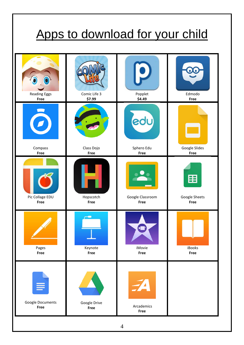## Apps to download for your child